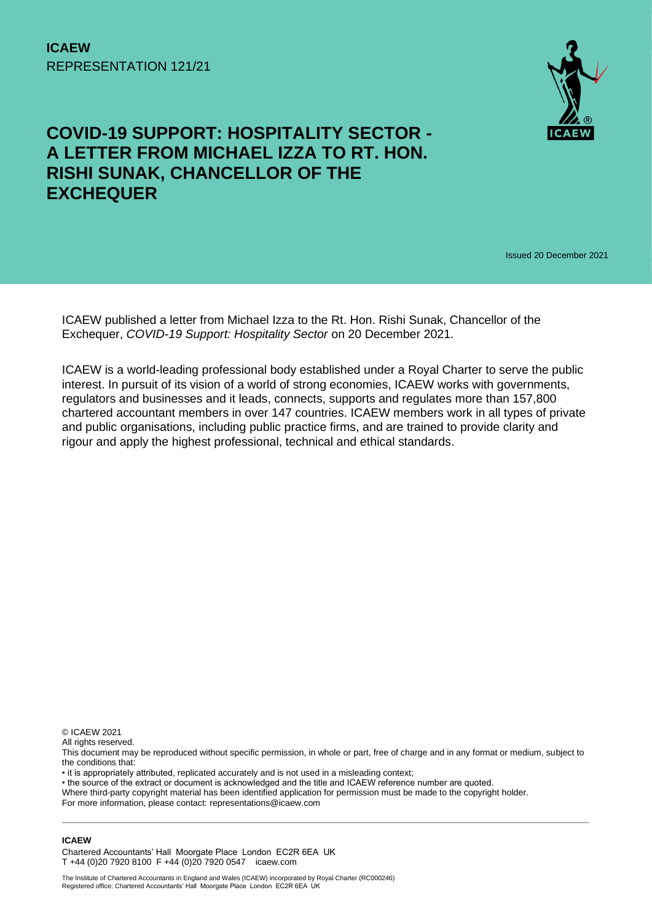

## **COVID-19 SUPPORT: HOSPITALITY SECTOR - A LETTER FROM MICHAEL IZZA TO RT. HON. RISHI SUNAK, CHANCELLOR OF THE EXCHEQUER**

Issued 20 December 2021

ICAEW published a letter from Michael Izza to the Rt. Hon. Rishi Sunak, Chancellor of the Exchequer, *COVID-19 Support: Hospitality Sector* on 20 December 2021.

ICAEW is a world-leading professional body established under a Royal Charter to serve the public interest. In pursuit of its vision of a world of strong economies, ICAEW works with governments, regulators and businesses and it leads, connects, supports and regulates more than 157,800 chartered accountant members in over 147 countries. ICAEW members work in all types of private and public organisations, including public practice firms, and are trained to provide clarity and rigour and apply the highest professional, technical and ethical standards.

© ICAEW 2021

All rights reserved.

This document may be reproduced without specific permission, in whole or part, free of charge and in any format or medium, subject to the conditions that:

• it is appropriately attributed, replicated accurately and is not used in a misleading context;

• the source of the extract or document is acknowledged and the title and ICAEW reference number are quoted.

Where third-party copyright material has been identified application for permission must be made to the copyright holder.

For more information, please contact: representations@icaew.com

## **ICAEW**

Chartered Accountants' Hall Moorgate Place London EC2R 6EA UK T +44 (0)20 7920 8100 F +44 (0)20 7920 0547 icaew.com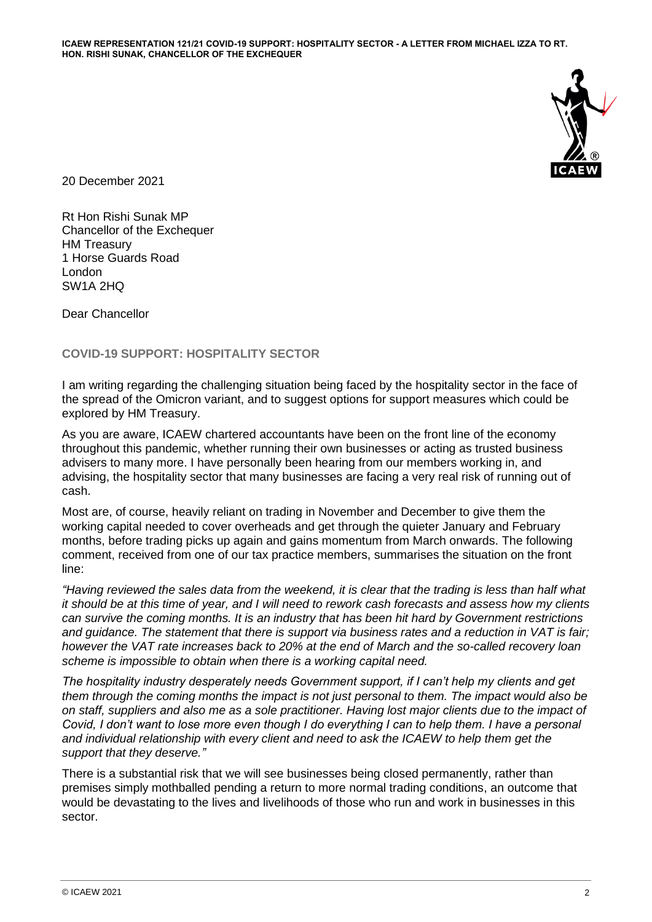

20 December 2021

Rt Hon Rishi Sunak MP Chancellor of the Exchequer HM Treasury 1 Horse Guards Road London SW1A 2HQ

Dear Chancellor

**COVID-19 SUPPORT: HOSPITALITY SECTOR**

I am writing regarding the challenging situation being faced by the hospitality sector in the face of the spread of the Omicron variant, and to suggest options for support measures which could be explored by HM Treasury.

As you are aware, ICAEW chartered accountants have been on the front line of the economy throughout this pandemic, whether running their own businesses or acting as trusted business advisers to many more. I have personally been hearing from our members working in, and advising, the hospitality sector that many businesses are facing a very real risk of running out of cash.

Most are, of course, heavily reliant on trading in November and December to give them the working capital needed to cover overheads and get through the quieter January and February months, before trading picks up again and gains momentum from March onwards. The following comment, received from one of our tax practice members, summarises the situation on the front line:

*"Having reviewed the sales data from the weekend, it is clear that the trading is less than half what it should be at this time of year, and I will need to rework cash forecasts and assess how my clients can survive the coming months. It is an industry that has been hit hard by Government restrictions and guidance. The statement that there is support via business rates and a reduction in VAT is fair; however the VAT rate increases back to 20% at the end of March and the so-called recovery loan scheme is impossible to obtain when there is a working capital need.*

*The hospitality industry desperately needs Government support, if I can't help my clients and get them through the coming months the impact is not just personal to them. The impact would also be on staff, suppliers and also me as a sole practitioner. Having lost major clients due to the impact of Covid, I don't want to lose more even though I do everything I can to help them. I have a personal and individual relationship with every client and need to ask the ICAEW to help them get the support that they deserve."*

There is a substantial risk that we will see businesses being closed permanently, rather than premises simply mothballed pending a return to more normal trading conditions, an outcome that would be devastating to the lives and livelihoods of those who run and work in businesses in this sector.